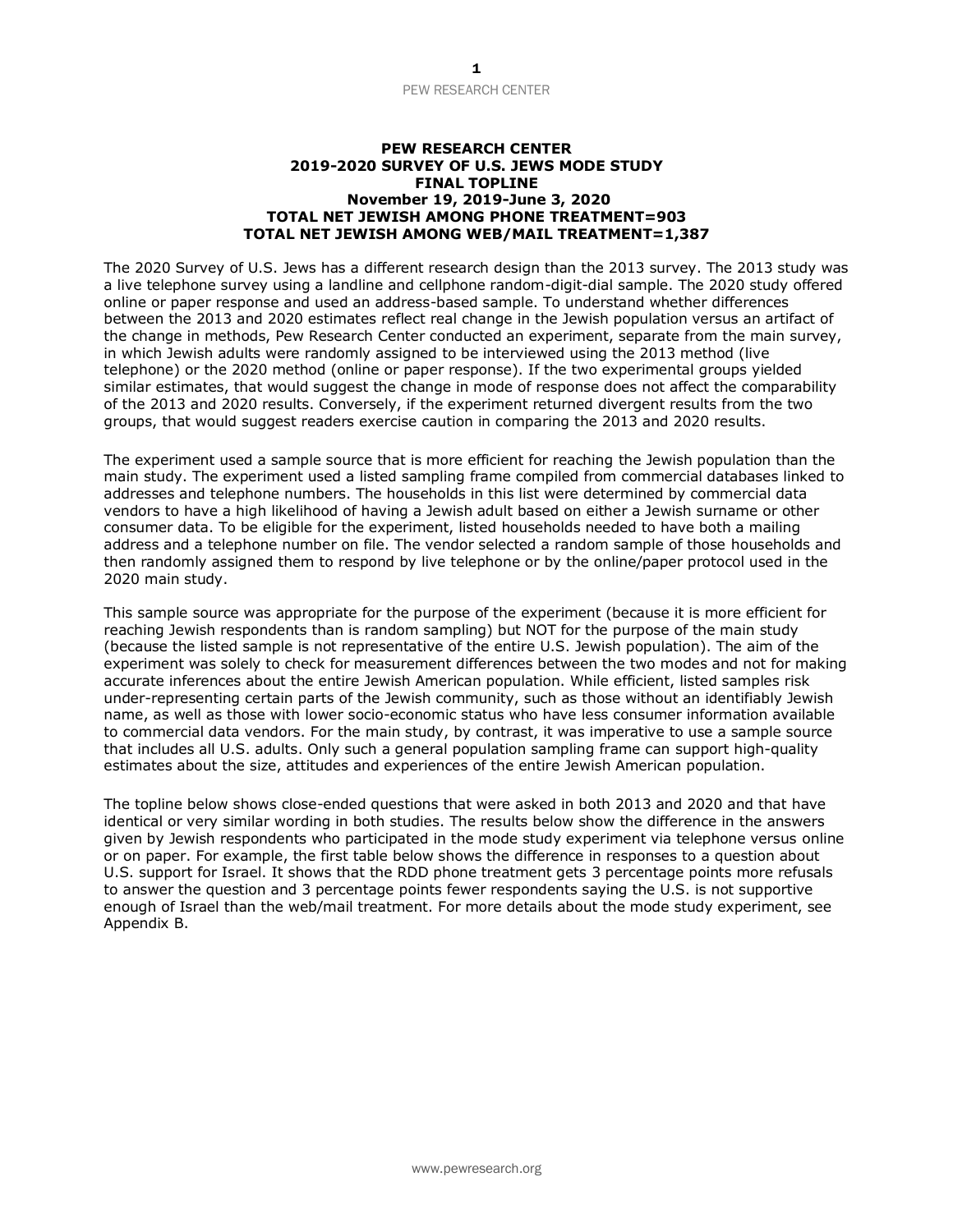#### **PEW RESEARCH CENTER 2019-2020 SURVEY OF U.S. JEWS MODE STUDY FINAL TOPLINE November 19, 2019-June 3, 2020 TOTAL NET JEWISH AMONG PHONE TREATMENT=903 TOTAL NET JEWISH AMONG WEB/MAIL TREATMENT=1,387**

The 2020 Survey of U.S. Jews has a different research design than the 2013 survey. The 2013 study was a live telephone survey using a landline and cellphone random-digit-dial sample. The 2020 study offered online or paper response and used an address-based sample. To understand whether differences between the 2013 and 2020 estimates reflect real change in the Jewish population versus an artifact of the change in methods, Pew Research Center conducted an experiment, separate from the main survey, in which Jewish adults were randomly assigned to be interviewed using the 2013 method (live telephone) or the 2020 method (online or paper response). If the two experimental groups yielded similar estimates, that would suggest the change in mode of response does not affect the comparability of the 2013 and 2020 results. Conversely, if the experiment returned divergent results from the two groups, that would suggest readers exercise caution in comparing the 2013 and 2020 results.

The experiment used a sample source that is more efficient for reaching the Jewish population than the main study. The experiment used a listed sampling frame compiled from commercial databases linked to addresses and telephone numbers. The households in this list were determined by commercial data vendors to have a high likelihood of having a Jewish adult based on either a Jewish surname or other consumer data. To be eligible for the experiment, listed households needed to have both a mailing address and a telephone number on file. The vendor selected a random sample of those households and then randomly assigned them to respond by live telephone or by the online/paper protocol used in the 2020 main study.

This sample source was appropriate for the purpose of the experiment (because it is more efficient for reaching Jewish respondents than is random sampling) but NOT for the purpose of the main study (because the listed sample is not representative of the entire U.S. Jewish population). The aim of the experiment was solely to check for measurement differences between the two modes and not for making accurate inferences about the entire Jewish American population. While efficient, listed samples risk under-representing certain parts of the Jewish community, such as those without an identifiably Jewish name, as well as those with lower socio-economic status who have less consumer information available to commercial data vendors. For the main study, by contrast, it was imperative to use a sample source that includes all U.S. adults. Only such a general population sampling frame can support high-quality estimates about the size, attitudes and experiences of the entire Jewish American population.

The topline below shows close-ended questions that were asked in both 2013 and 2020 and that have identical or very similar wording in both studies. The results below show the difference in the answers given by Jewish respondents who participated in the mode study experiment via telephone versus online or on paper. For example, the first table below shows the difference in responses to a question about U.S. support for Israel. It shows that the RDD phone treatment gets 3 percentage points more refusals to answer the question and 3 percentage points fewer respondents saying the U.S. is not supportive enough of Israel than the web/mail treatment. For more details about the mode study experiment, see Appendix B.

www.pewresearch.org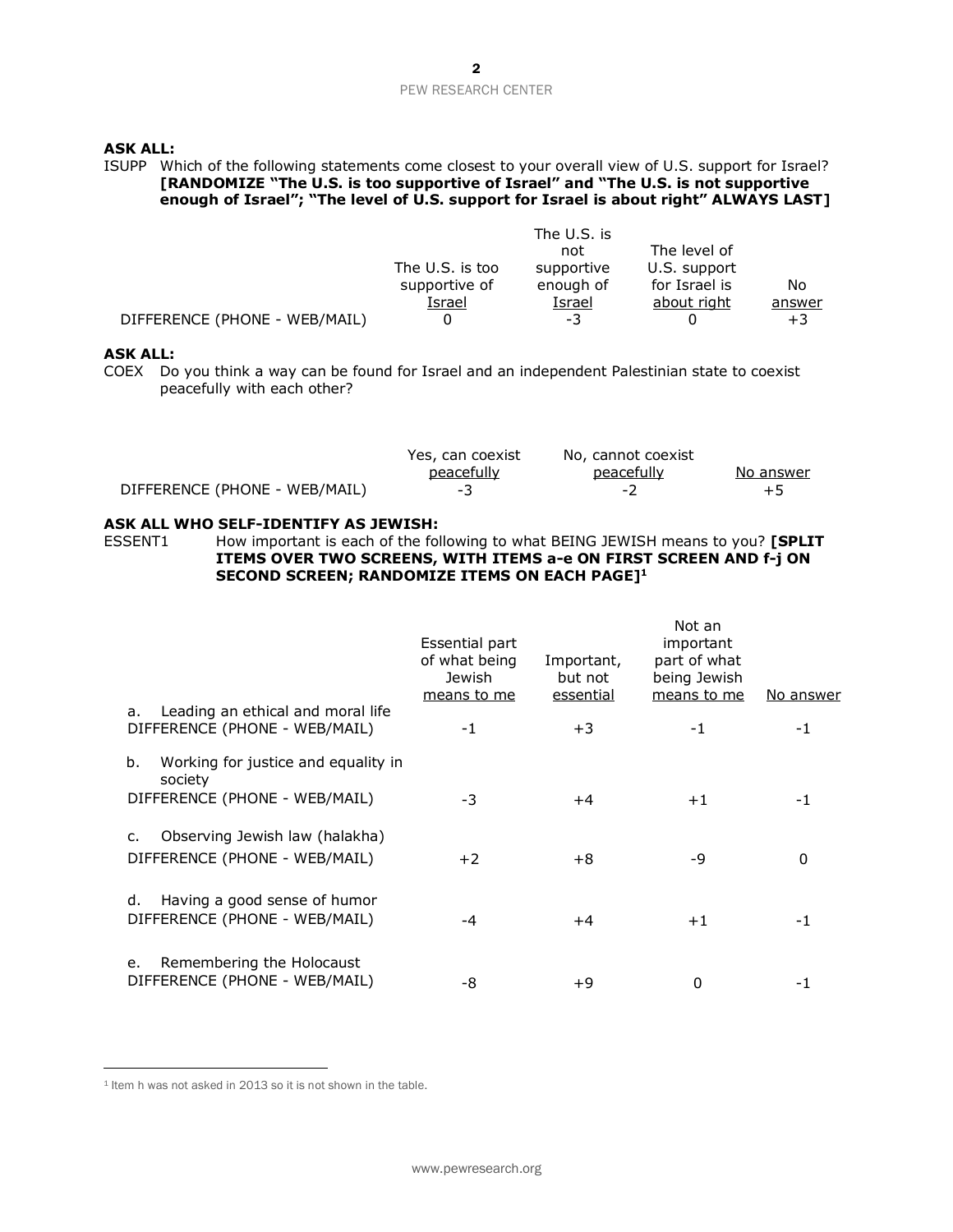## **ASK ALL:**

## ISUPP Which of the following statements come closest to your overall view of U.S. support for Israel? **[RANDOMIZE "The U.S. is too supportive of Israel" and "The U.S. is not supportive enough of Israel"; "The level of U.S. support for Israel is about right" ALWAYS LAST]**

|                               |                 | The U.S. is |               |        |
|-------------------------------|-----------------|-------------|---------------|--------|
|                               |                 | not         | The level of  |        |
|                               | The U.S. is too | supportive  | U.S. support  |        |
|                               | supportive of   | enough of   | for Israel is | No     |
|                               | Israel          | Israel      | about right   | answer |
| DIFFERENCE (PHONE - WEB/MAIL) |                 | -3          |               | $+3$   |

### **ASK ALL:**

COEX Do you think a way can be found for Israel and an independent Palestinian state to coexist peacefully with each other?

|                               | Yes, can coexist | No, cannot coexist |           |
|-------------------------------|------------------|--------------------|-----------|
|                               | peacefully       | peacefully         | No answer |
| DIFFERENCE (PHONE - WEB/MAIL) | - 3              | $\sim$             | $+5$      |

### **ASK ALL WHO SELF-IDENTIFY AS JEWISH:**

ESSENT1 How important is each of the following to what BEING JEWISH means to you? **[SPLIT ITEMS OVER TWO SCREENS, WITH ITEMS a-e ON FIRST SCREEN AND f-j ON SECOND SCREEN; RANDOMIZE ITEMS ON EACH PAGE] 1**

|                                                                          | Essential part<br>of what being<br>Jewish<br>means to me | Important,<br>but not<br>essential | Not an<br>important<br>part of what<br>being Jewish<br>means to me | <u>No answer</u> |
|--------------------------------------------------------------------------|----------------------------------------------------------|------------------------------------|--------------------------------------------------------------------|------------------|
| Leading an ethical and moral life<br>a.<br>DIFFERENCE (PHONE - WEB/MAIL) | $-1$                                                     | +3                                 | -1                                                                 | -1               |
| Working for justice and equality in<br>b.<br>society                     |                                                          |                                    |                                                                    |                  |
| DIFFERENCE (PHONE - WEB/MAIL)                                            | -3                                                       | +4                                 | $+1$                                                               | -1               |
| Observing Jewish law (halakha)<br>C.<br>DIFFERENCE (PHONE - WEB/MAIL)    | $+2$                                                     | +8                                 | -9                                                                 | 0                |
| Having a good sense of humor<br>d.<br>DIFFERENCE (PHONE - WEB/MAIL)      | -4                                                       | +4                                 | $+1$                                                               | -1               |
| Remembering the Holocaust<br>e.<br>DIFFERENCE (PHONE - WEB/MAIL)         | -8                                                       | +9                                 | 0                                                                  |                  |

<sup>&</sup>lt;sup>1</sup> Item h was not asked in 2013 so it is not shown in the table.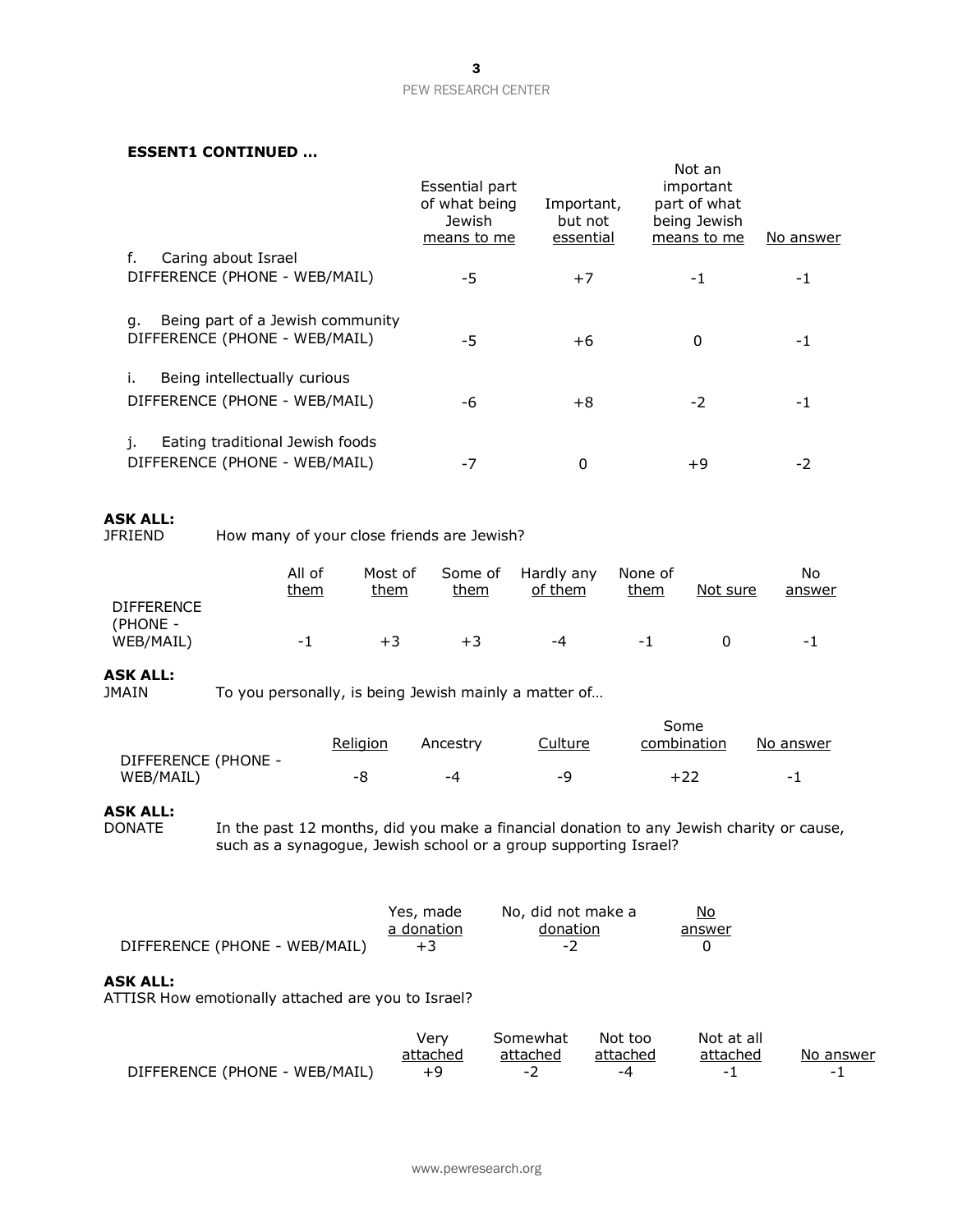### **ESSENT1 CONTINUED …**

|                                                                         | Essential part<br>of what being<br>Jewish<br>means to me | Important,<br>but not<br>essential | Not an<br>important<br>part of what<br>being Jewish<br>means to me | No answer |
|-------------------------------------------------------------------------|----------------------------------------------------------|------------------------------------|--------------------------------------------------------------------|-----------|
| Caring about Israel<br>f.<br>DIFFERENCE (PHONE - WEB/MAIL)              | -5                                                       | $+7$                               | -1                                                                 | -1        |
| Being part of a Jewish community<br>q.<br>DIFFERENCE (PHONE - WEB/MAIL) | -5                                                       | $+6$                               | 0                                                                  | -1        |
| Being intellectually curious<br>DIFFERENCE (PHONE - WEB/MAIL)           | -6                                                       | $+8$                               | $-2$                                                               | -1        |
| Eating traditional Jewish foods<br>1.<br>DIFFERENCE (PHONE - WEB/MAIL)  | -7                                                       | 0                                  | +9                                                                 | -2        |

# **ASK ALL:**

How many of your close friends are Jewish?

|                               | All of<br>them | Most of<br>them | Some of<br>them | Hardly any<br>of them | None of<br>them | Not sure | No<br>answer |
|-------------------------------|----------------|-----------------|-----------------|-----------------------|-----------------|----------|--------------|
| <b>DIFFERENCE</b><br>(PHONE - |                |                 |                 |                       |                 |          |              |
| WEB/MAIL)                     | - 1            | $+3$            | $+3$            | -4                    | - 1             |          | - 1          |

# **ASK ALL:**

To you personally, is being Jewish mainly a matter of...

|                     |          |          |         | Some        |                          |
|---------------------|----------|----------|---------|-------------|--------------------------|
|                     | Religion | Ancestry | Culture | combination | No answer                |
| DIFFERENCE (PHONE - |          |          |         |             |                          |
| WEB/MAIL)           | -8       | -4       | -O      | +22         | $\overline{\phantom{0}}$ |

# **ASK ALL:**

In the past 12 months, did you make a financial donation to any Jewish charity or cause, such as a synagogue, Jewish school or a group supporting Israel?

|                               | Yes, made  | No, did not make a | No.    |
|-------------------------------|------------|--------------------|--------|
|                               | a donation | donation           | answer |
| DIFFERENCE (PHONE - WEB/MAIL) | $+3$       | - 2                |        |

#### **ASK ALL:**

ATTISR How emotionally attached are you to Israel?

|                               | verv     | Somewhat | Not too                  | Not at all |           |
|-------------------------------|----------|----------|--------------------------|------------|-----------|
|                               | attached | attached | attached                 | attached   | No answer |
| DIFFERENCE (PHONE - WEB/MAIL) |          |          | $\overline{\phantom{a}}$ |            | -         |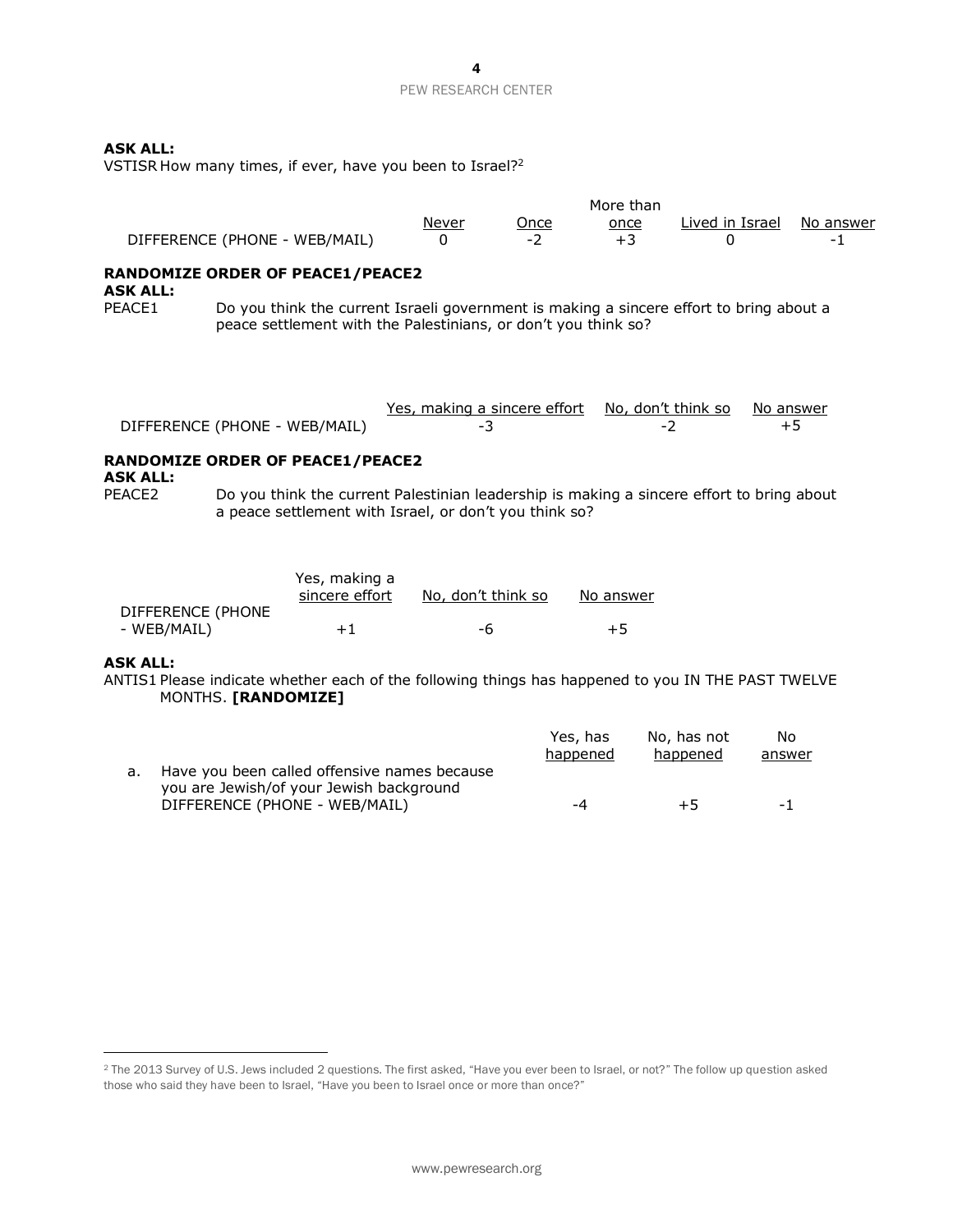## **ASK ALL:**

VSTISR How many times, if ever, have you been to Israel? 2

|                               |       |      | More than |                           |   |
|-------------------------------|-------|------|-----------|---------------------------|---|
|                               | Never | Jnce | once      | Lived in Israel No answer |   |
| DIFFERENCE (PHONE - WEB/MAIL) |       |      |           |                           | - |

# **RANDOMIZE ORDER OF PEACE1/PEACE2**

**ASK ALL:**

PEACE1 Do you think the current Israeli government is making a sincere effort to bring about a peace settlement with the Palestinians, or don't you think so?

|                               | Yes, making a sincere effort No, don't think so No answer |        |  |
|-------------------------------|-----------------------------------------------------------|--------|--|
| DIFFERENCE (PHONE - WEB/MAIL) |                                                           | $\sim$ |  |

# **RANDOMIZE ORDER OF PEACE1/PEACE2**

**ASK ALL:**

PEACE2 Do you think the current Palestinian leadership is making a sincere effort to bring about a peace settlement with Israel, or don't you think so?

|                   | Yes, making a<br>sincere effort | No, don't think so | No answer |
|-------------------|---------------------------------|--------------------|-----------|
| DIFFERENCE (PHONE |                                 |                    |           |
| - WEB/MAIL)       | $+1$                            | -6                 | $+5$      |

## **ASK ALL:**

ANTIS1 Please indicate whether each of the following things has happened to you IN THE PAST TWELVE MONTHS. **[RANDOMIZE]**

|                                                                                             | Yes, has<br>happened | No, has not<br>happened | No<br>answer |
|---------------------------------------------------------------------------------------------|----------------------|-------------------------|--------------|
| a. Have you been called offensive names because<br>you are Jewish/of your Jewish background |                      |                         |              |
| DIFFERENCE (PHONE - WEB/MAIL)                                                               | -4                   | $+5$                    | $-1$         |

<sup>&</sup>lt;sup>2</sup> The 2013 Survey of U.S. Jews included 2 questions. The first asked, "Have you ever been to Israel, or not?" The follow up question asked those who said they have been to Israel, "Have you been to Israel once or more than once?"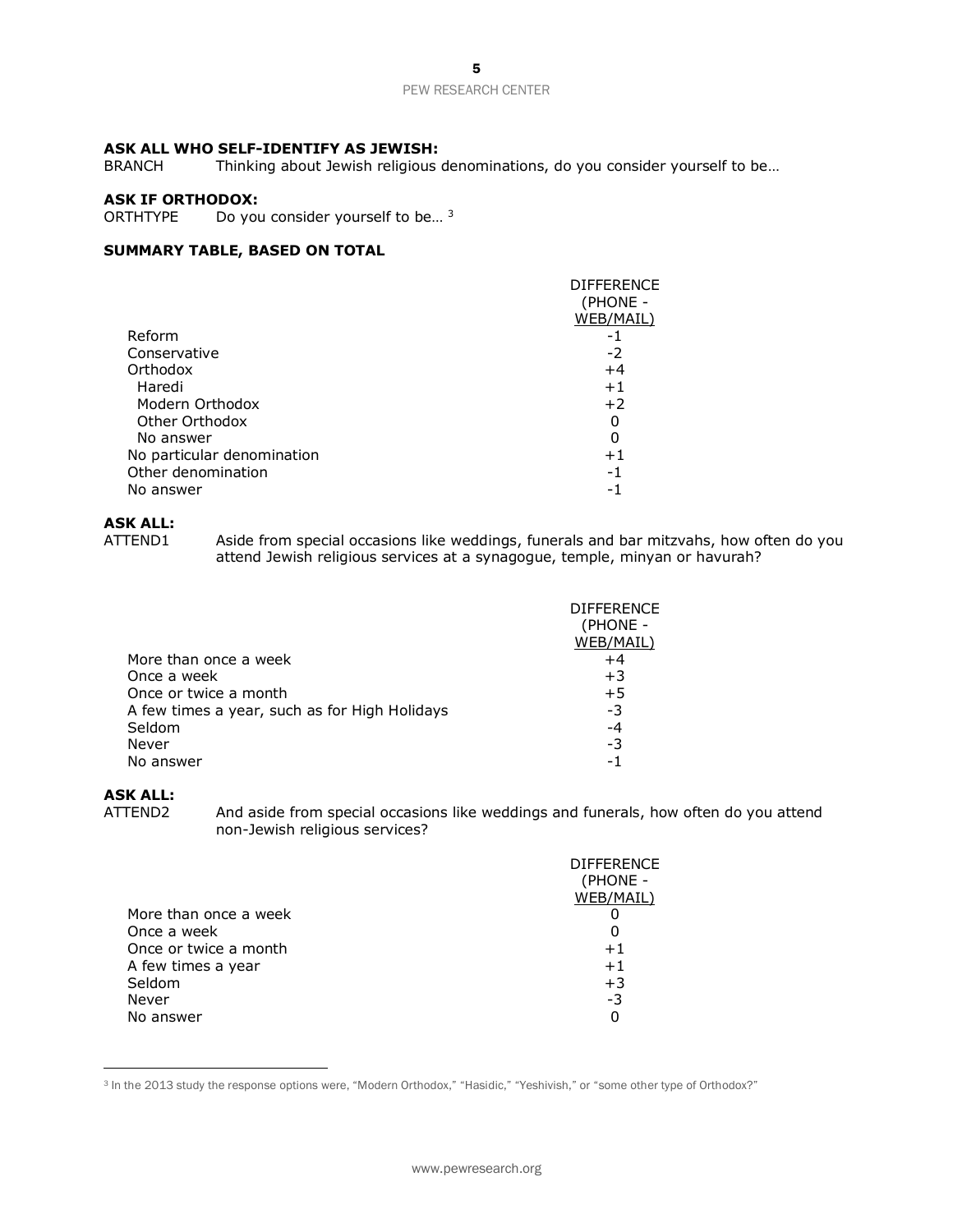# **ASK ALL WHO SELF-IDENTIFY AS JEWISH:**

Thinking about Jewish religious denominations, do you consider yourself to be...

# **ASK IF ORTHODOX:**

ORTHTYPE Do you consider yourself to be...<sup>3</sup>

# **SUMMARY TABLE, BASED ON TOTAL**

|                            | <b>DIFFERENCE</b> |
|----------------------------|-------------------|
|                            | (PHONE -          |
|                            | WEB/MAIL)         |
| Reform                     | -1                |
| Conservative               | -2                |
| Orthodox                   | $+4$              |
| Haredi                     | $+1$              |
| Modern Orthodox            | $+2$              |
| Other Orthodox             | 0                 |
| No answer                  | 0                 |
| No particular denomination | $+1$              |
| Other denomination         | -1                |
| No answer                  | - 1               |

# **ASK ALL:**

Aside from special occasions like weddings, funerals and bar mitzvahs, how often do you attend Jewish religious services at a synagogue, temple, minyan or havurah?

|                                               | <b>DIFFERENCE</b><br>(PHONE - |
|-----------------------------------------------|-------------------------------|
|                                               | WEB/MAIL)                     |
| More than once a week                         | $+4$                          |
| Once a week                                   | $+3$                          |
| Once or twice a month                         | $+5$                          |
| A few times a year, such as for High Holidays | -3                            |
| Seldom                                        | $-4$                          |
| Never                                         | -3                            |
| No answer                                     | - 1                           |

# **ASK ALL:**

ATTEND2 And aside from special occasions like weddings and funerals, how often do you attend non-Jewish religious services?

| More than once a week<br>Once a week<br>O<br>Once or twice a month<br>$+1$<br>A few times a year<br>$+1$<br>Seldom<br>$+3$<br>Never<br>-3<br>No answer<br>0 | <b>DIFFERENCE</b> |
|-------------------------------------------------------------------------------------------------------------------------------------------------------------|-------------------|
|                                                                                                                                                             | (PHONE -          |
|                                                                                                                                                             | WEB/MAIL)         |
|                                                                                                                                                             |                   |
|                                                                                                                                                             |                   |
|                                                                                                                                                             |                   |
|                                                                                                                                                             |                   |
|                                                                                                                                                             |                   |
|                                                                                                                                                             |                   |
|                                                                                                                                                             |                   |

<sup>3</sup> In the 2013 study the response options were, "Modern Orthodox," "Hasidic," "Yeshivish," or "some other type of Orthodox?"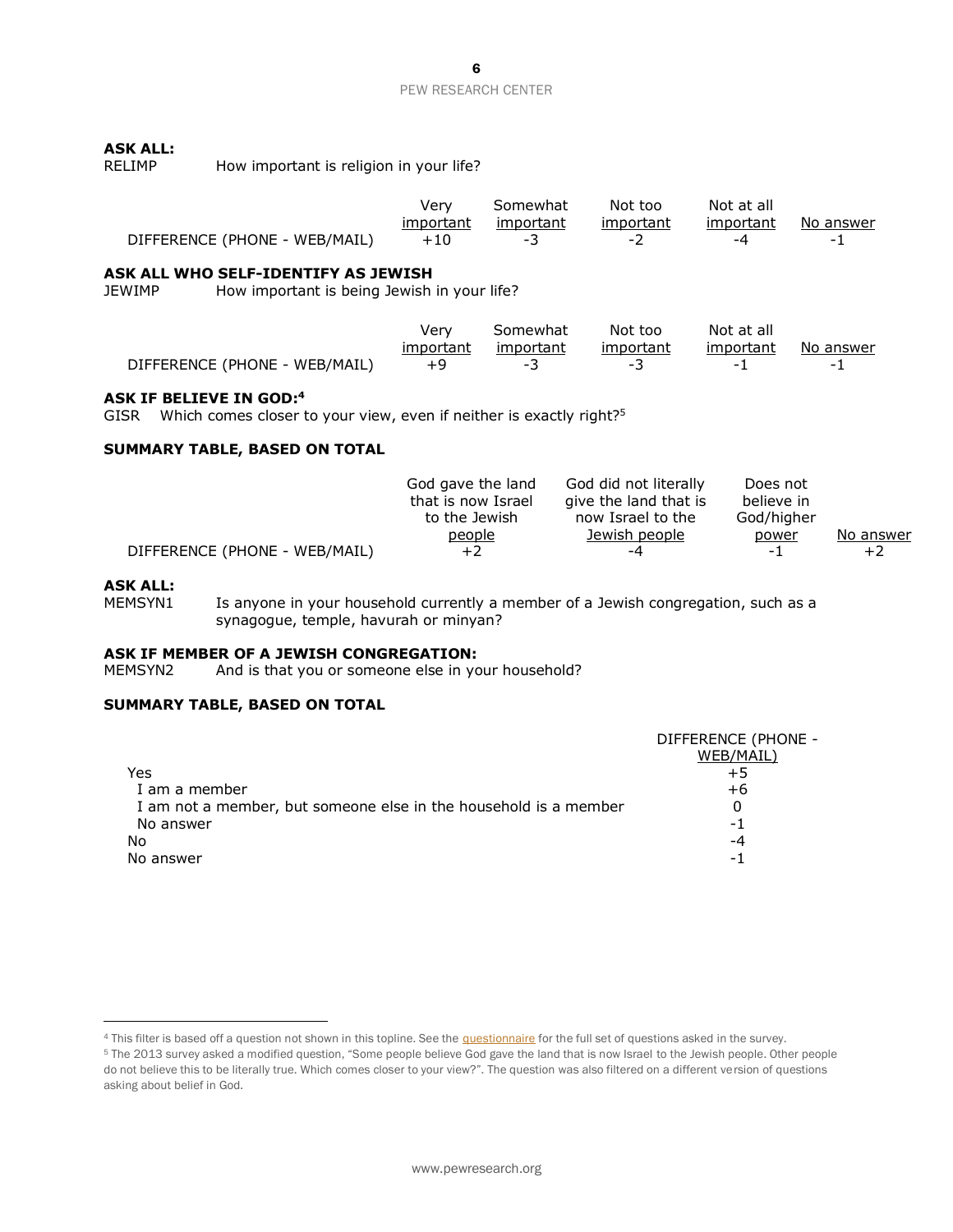# **ASK ALL:**

| How important is religion in your life?<br>RELIMP |  |
|---------------------------------------------------|--|
|---------------------------------------------------|--|

|                               | Verv      | Somewhat  | Not too   | Not at all |                          |
|-------------------------------|-----------|-----------|-----------|------------|--------------------------|
|                               | important | important | important | important  | No answer                |
| DIFFERENCE (PHONE - WEB/MAIL) |           |           | - 1       |            | $\overline{\phantom{0}}$ |

### **ASK ALL WHO SELF-IDENTIFY AS JEWISH**

JEWIMP How important is being Jewish in your life?

|                               | Verv      | Somewhat  | Not too                  | Not at all |           |
|-------------------------------|-----------|-----------|--------------------------|------------|-----------|
|                               | important | important | important                | important  | No answer |
| DIFFERENCE (PHONE - WEB/MAIL) |           | -         | $\overline{\phantom{0}}$ | -          |           |

#### **ASK IF BELIEVE IN GOD:<sup>4</sup>**

GISR Which comes closer to your view, even if neither is exactly right?<sup>5</sup>

## **SUMMARY TABLE, BASED ON TOTAL**

|                               | God gave the land  | God did not literally | Does not   |           |
|-------------------------------|--------------------|-----------------------|------------|-----------|
|                               | that is now Israel | give the land that is | believe in |           |
|                               | to the Jewish      | now Israel to the     | God/higher |           |
|                               | people             | Jewish people         | power      | No answer |
| DIFFERENCE (PHONE - WEB/MAIL) | +2                 | -4                    | $-1$       | $+2$      |

### **ASK ALL:**

MEMSYN1 Is anyone in your household currently a member of a Jewish congregation, such as a synagogue, temple, havurah or minyan?

# **ASK IF MEMBER OF A JEWISH CONGREGATION:**<br>MEMSYN2 And is that you or someone else in you

And is that you or someone else in your household?

# **SUMMARY TABLE, BASED ON TOTAL**

|                                                                  | DIFFERENCE (PHONE - |
|------------------------------------------------------------------|---------------------|
|                                                                  | WEB/MAIL)           |
| Yes                                                              | $+5$                |
| I am a member                                                    | +6                  |
| I am not a member, but someone else in the household is a member | 0                   |
| No answer                                                        | -1                  |
| No                                                               | -4                  |
| No answer                                                        | - 1                 |
|                                                                  |                     |

<sup>4</sup> This filter is based off a question not shown in this topline. See the **questionnaire** for the full set of questions asked in the survey.

<sup>5</sup> The 2013 survey asked a modified question, "Some people believe God gave the land that is now Israel to the Jewish people. Other people do not believe this to be literally true. Which comes closer to your view?". The question was also filtered on a different version of questions asking about belief in God.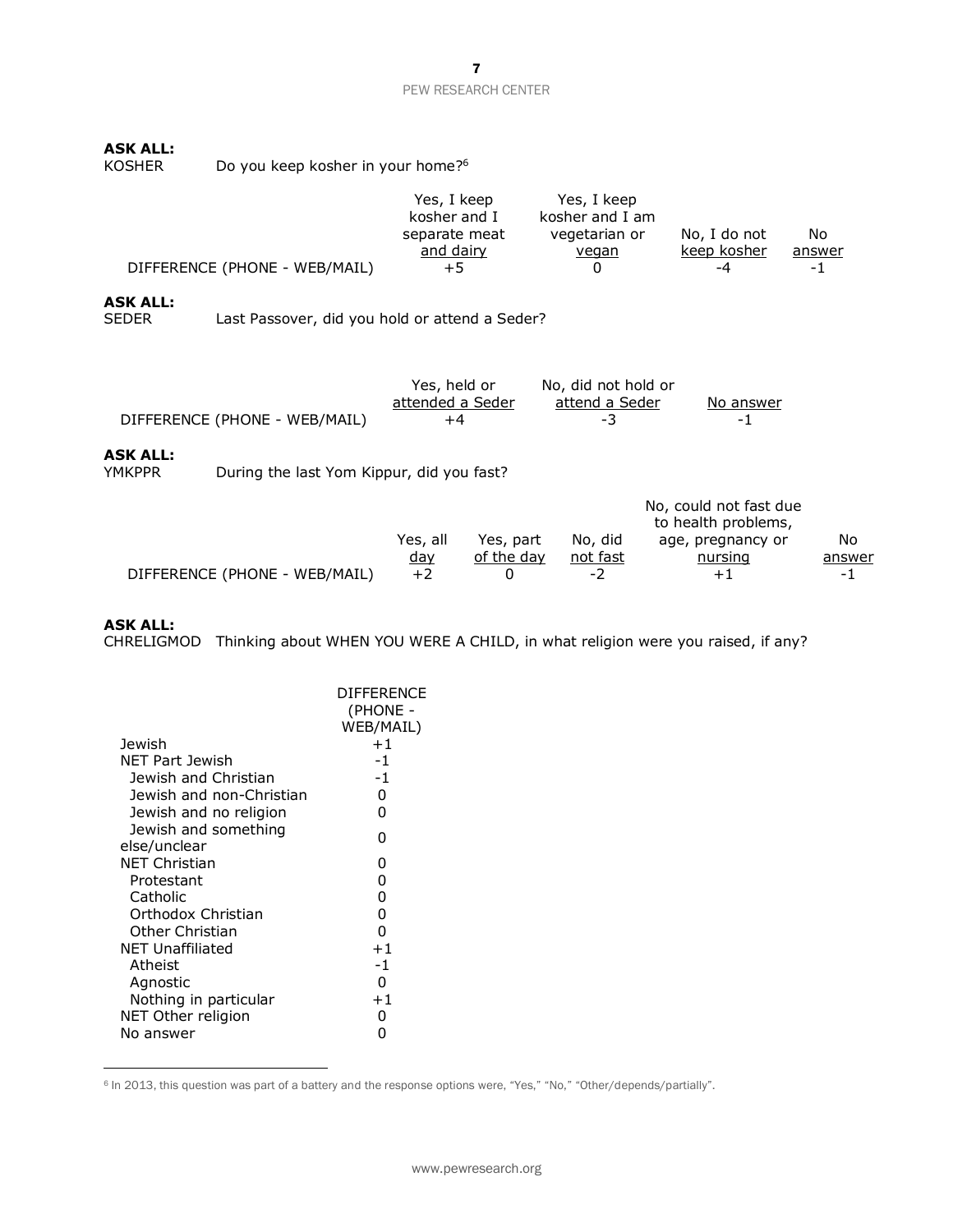# **ASK ALL:**

| KOSHER | Do you keep kosher in your home? <sup>6</sup> |
|--------|-----------------------------------------------|
|--------|-----------------------------------------------|

| DIFFERENCE (PHONE - WEB/MAIL)<br>$+5$<br>-1<br>-4 |  | Yes, I keep<br>kosher and I<br>separate meat<br>and dairy | Yes, I keep<br>kosher and I am<br>vegetarian or<br>vegan | No, I do not<br>keep kosher | No<br>answer |
|---------------------------------------------------|--|-----------------------------------------------------------|----------------------------------------------------------|-----------------------------|--------------|
|---------------------------------------------------|--|-----------------------------------------------------------|----------------------------------------------------------|-----------------------------|--------------|

# **ASK ALL:**

Last Passover, did you hold or attend a Seder?

|                    | DIFFERENCE (PHONE - WEB/MAIL)             | Yes, held or<br>attended a Seder<br>+4 |            | No, did not hold or<br>attend a Seder<br>-3 | No answer<br>-1                               |        |
|--------------------|-------------------------------------------|----------------------------------------|------------|---------------------------------------------|-----------------------------------------------|--------|
| ASK ALL:<br>YMKPPR | During the last Yom Kippur, did you fast? |                                        |            |                                             |                                               |        |
|                    |                                           |                                        |            |                                             | No, could not fast due<br>to health problems, |        |
|                    |                                           | Yes, all                               | Yes, part  | No, did                                     | age, pregnancy or                             | No     |
|                    |                                           | <u>day</u>                             | of the day | not fast                                    | nursing                                       | answer |
|                    | DIFFERENCE (PHONE - WEB/MAIL)             | $+2$                                   |            | -2                                          | +1                                            | -1     |

# **ASK ALL:**

CHRELIGMOD Thinking about WHEN YOU WERE A CHILD, in what religion were you raised, if any?

|                                      | <b>DIFFFRENCE</b><br>(PHONE -<br>WEB/MAIL) |
|--------------------------------------|--------------------------------------------|
| <b>Jewish</b>                        | $+1$                                       |
| NFT Part Jewish                      | -1                                         |
| Jewish and Christian                 | $-1$                                       |
| Jewish and non-Christian             | 0                                          |
| Jewish and no religion               | O                                          |
| Jewish and something<br>else/unclear | O                                          |
| NET Christian                        | O                                          |
| Protestant                           | 0                                          |
| Catholic                             | 0                                          |
| Orthodox Christian                   | 0                                          |
| Other Christian                      | ŋ                                          |
| NET Unaffiliated                     | $+1$                                       |
| Atheist                              | -1                                         |
| Agnostic                             | O                                          |
| Nothing in particular                | $+1$                                       |
| NET Other religion                   | 0                                          |
| No answer                            |                                            |
|                                      |                                            |

<sup>6</sup> In 2013, this question was part of a battery and the response options were, "Yes," "No," "Other/depends/partially".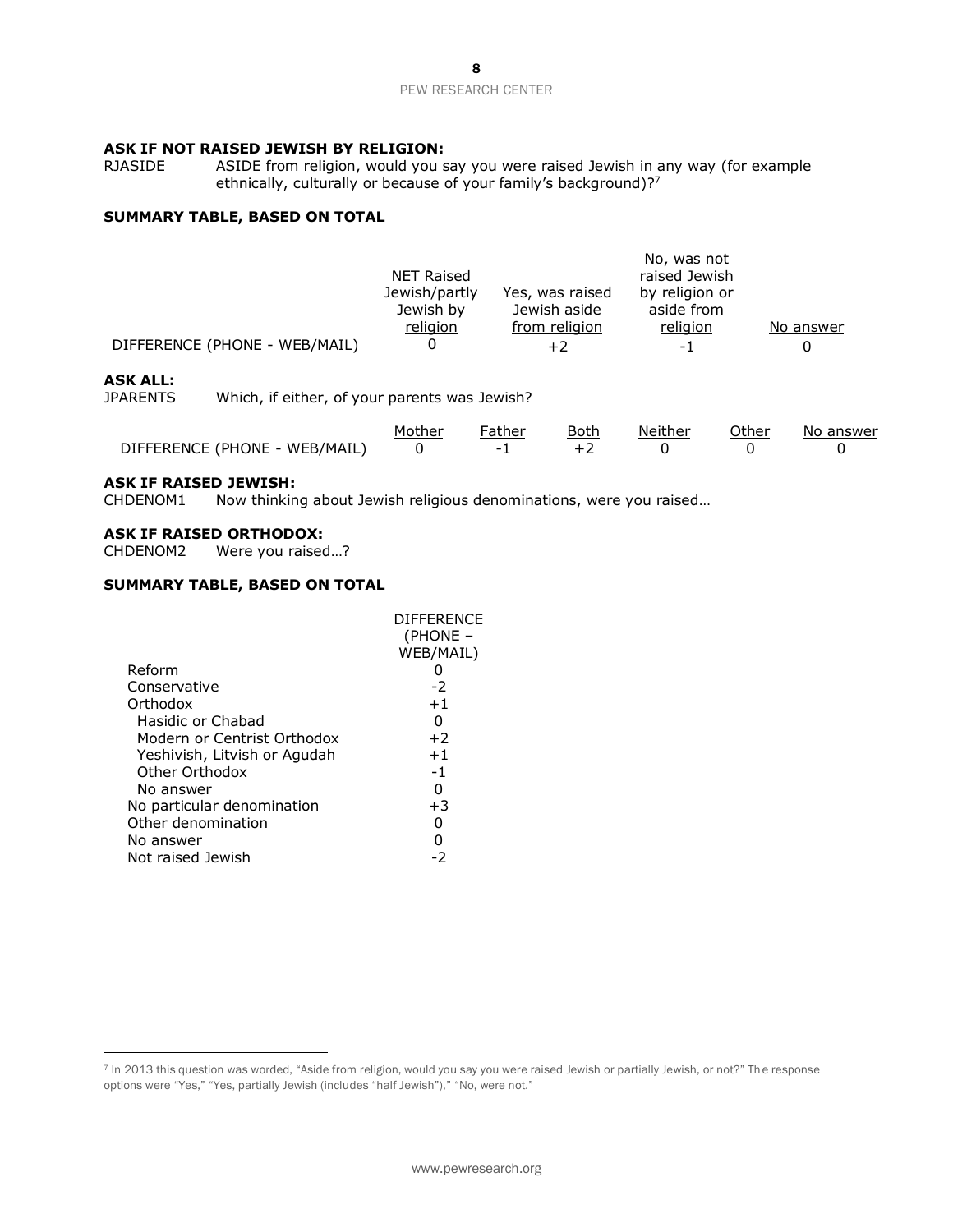# **ASK IF NOT RAISED JEWISH BY RELIGION:**<br>RJASIDE ASIDE from religion, would you s

ASIDE from religion, would you say you were raised Jewish in any way (for example ethnically, culturally or because of your family's background)?<sup>7</sup>

# **SUMMARY TABLE, BASED ON TOTAL**

|                               |                   |                 | No, was not    |           |
|-------------------------------|-------------------|-----------------|----------------|-----------|
|                               | <b>NET Raised</b> |                 | raised Jewish  |           |
|                               | Jewish/partly     | Yes, was raised | by religion or |           |
|                               | Jewish by         | Jewish aside    | aside from     |           |
|                               | religion          | from religion   | religion       | No answer |
| DIFFERENCE (PHONE - WEB/MAIL) |                   |                 | - 1            |           |

# **ASK ALL:**

JPARENTS Which, if either, of your parents was Jewish?

|                                 | Mother | Father | Both | Neither | Other | No answer |
|---------------------------------|--------|--------|------|---------|-------|-----------|
| DIFFERENCE (PHONE - WEB/MAIL) 0 |        |        |      |         |       |           |

# **ASK IF RAISED JEWISH:**

CHDENOM1 Now thinking about Jewish religious denominations, were you raised…

### **ASK IF RAISED ORTHODOX:**

CHDENOM2 Were you raised…?

## **SUMMARY TABLE, BASED ON TOTAL**

|                              | <b>DIFFERENCE</b> |
|------------------------------|-------------------|
|                              | (PHONE –          |
|                              | WEB/MAIL)         |
| Reform                       |                   |
| Conservative                 | -2                |
| Orthodox                     | $+1$              |
| Hasidic or Chabad            | 0                 |
| Modern or Centrist Orthodox  | $+2$              |
| Yeshivish, Litvish or Agudah | $+1$              |
| Other Orthodox               | $-1$              |
| No answer                    | 0                 |
| No particular denomination   | $+3$              |
| Other denomination           |                   |
| No answer                    |                   |
| Not raised Jewish            | -2                |

<sup>7</sup> In 2013 this question was worded, "Aside from religion, would you say you were raised Jewish or partially Jewish, or not?" The response options were "Yes," "Yes, partially Jewish (includes "half Jewish")," "No, were not."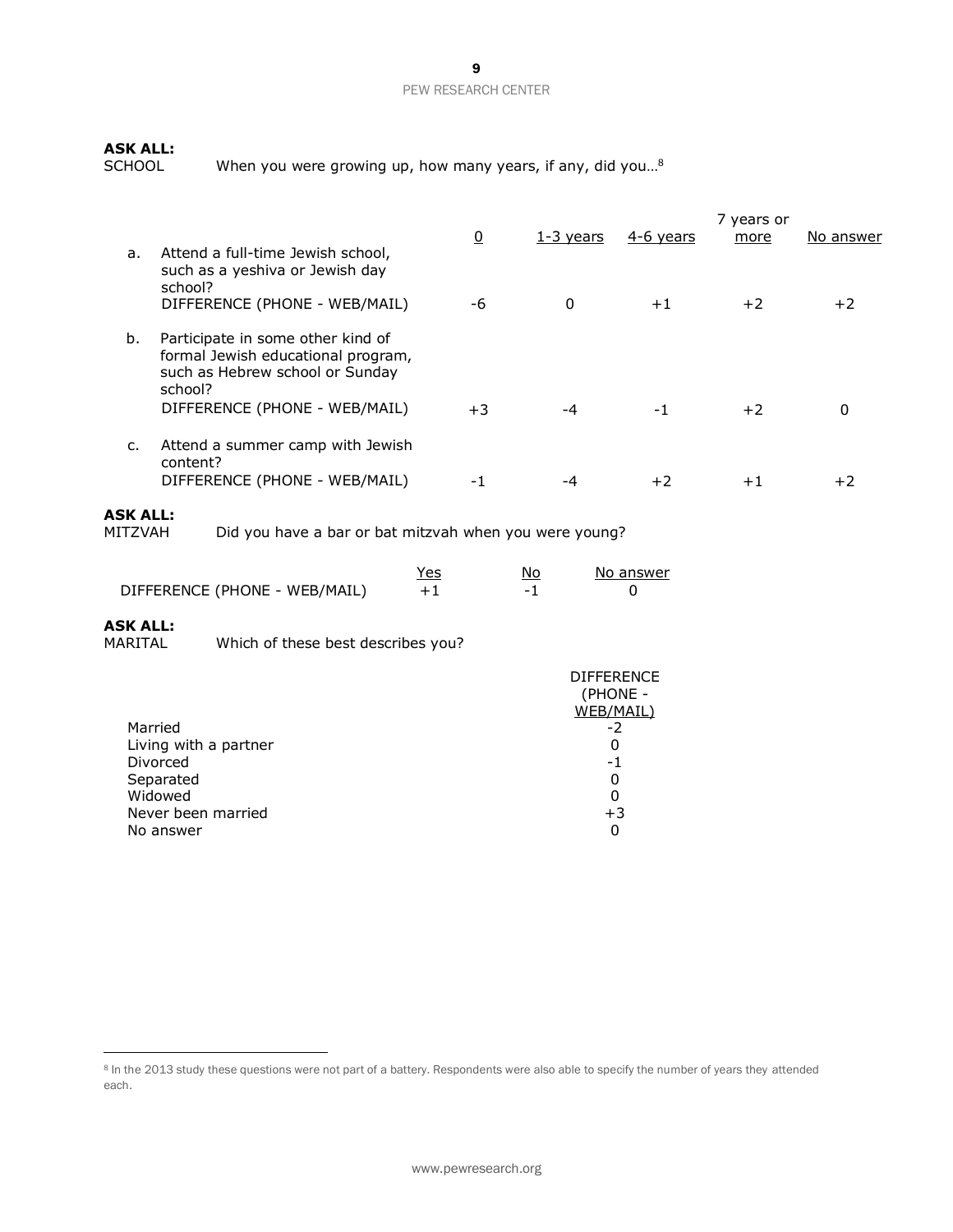# **ASK ALL:**

When you were growing up, how many years, if any, did you...<sup>8</sup>

|    |                                                                                                                                                        | <u>0</u> | $1-3$ years | 4-6 years | 7 years or<br>more | No answer |
|----|--------------------------------------------------------------------------------------------------------------------------------------------------------|----------|-------------|-----------|--------------------|-----------|
| a. | Attend a full-time Jewish school,<br>such as a yeshiva or Jewish day<br>school?<br>DIFFERENCE (PHONE - WEB/MAIL)                                       | -6       | 0           | $+1$      | $+2$               | $+2$      |
| b. | Participate in some other kind of<br>formal Jewish educational program,<br>such as Hebrew school or Sunday<br>school?<br>DIFFERENCE (PHONE - WEB/MAIL) | $+3$     | -4          | -1        | $+2$               | 0         |
| c. | Attend a summer camp with Jewish<br>content?<br>DIFFERENCE (PHONE - WEB/MAIL)                                                                          | -1       |             | $+2$      | $+1$               | +2        |

# **ASK ALL:**

Did you have a bar or bat mitzvah when you were young?

|                               | Yes | No                       | No answer |
|-------------------------------|-----|--------------------------|-----------|
| DIFFERENCE (PHONE - WEB/MAIL) |     | $\overline{\phantom{0}}$ |           |

# **ASK ALL:**

Which of these best describes you?

|                       | <b>DIFFERENCE</b><br>(PHONE -<br>WEB/MAIL) |
|-----------------------|--------------------------------------------|
| Married               | -2                                         |
| Living with a partner | O                                          |
| Divorced              | -1                                         |
| Separated             | 0                                          |
| Widowed               | 0                                          |
| Never been married    | $+3$                                       |
| No answer             | 0                                          |

<sup>&</sup>lt;sup>8</sup> In the 2013 study these questions were not part of a battery. Respondents were also able to specify the number of years they attended each.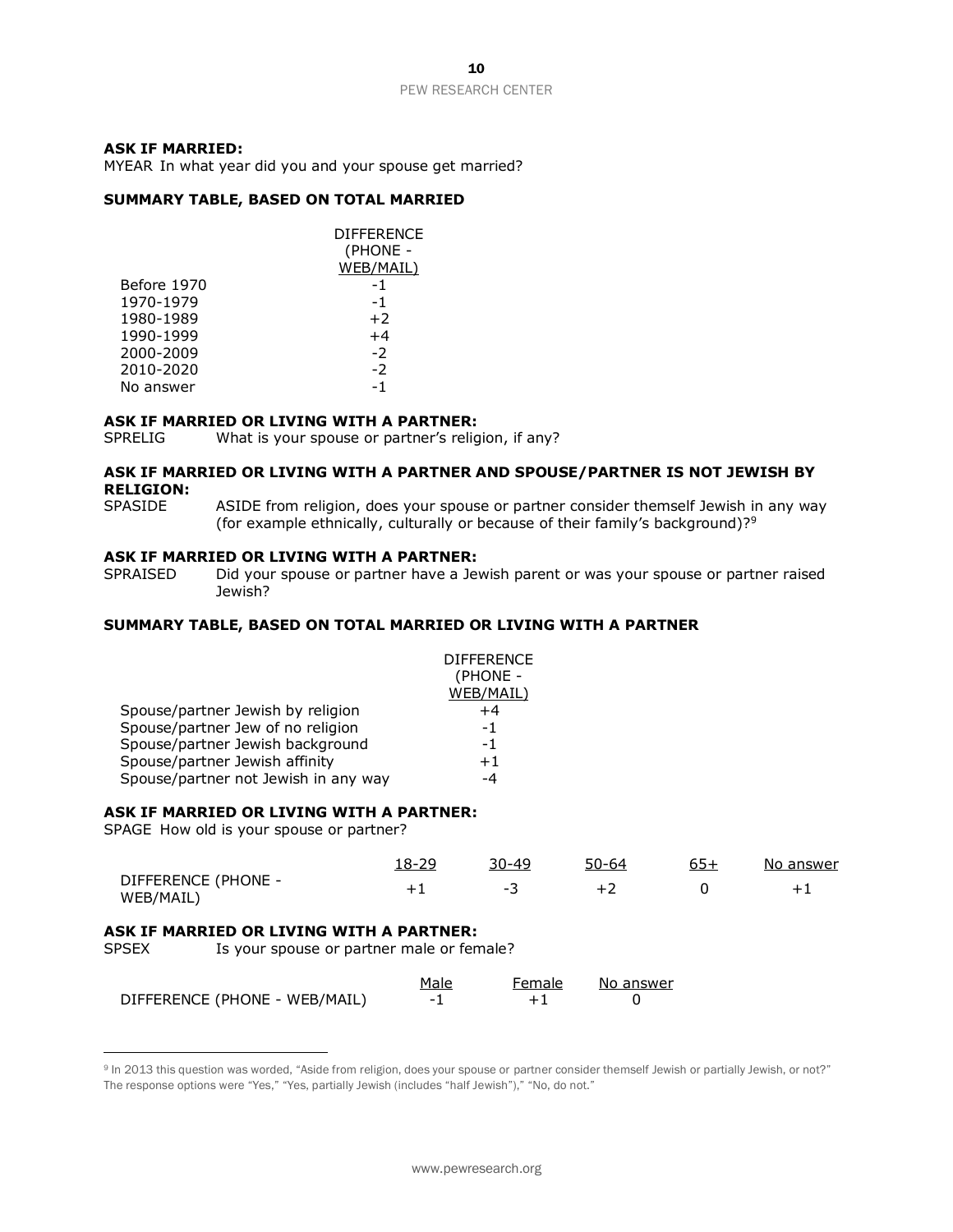## **ASK IF MARRIED:**

MYEAR In what year did you and your spouse get married?

### **SUMMARY TABLE, BASED ON TOTAL MARRIED**

|             | DIFFERENCE<br>(PHONE - |
|-------------|------------------------|
|             | WEB/MAIL)              |
| Before 1970 | -1                     |
| 1970-1979   | -1                     |
| 1980-1989   | $+2$                   |
| 1990-1999   | $+4$                   |
| 2000-2009   | $-2$                   |
| 2010-2020   | $-2$                   |
| No answer   | -1                     |

#### **ASK IF MARRIED OR LIVING WITH A PARTNER:**

SPRELIG What is your spouse or partner's religion, if any?

### **ASK IF MARRIED OR LIVING WITH A PARTNER AND SPOUSE/PARTNER IS NOT JEWISH BY RELIGION:**

SPASIDE ASIDE from religion, does your spouse or partner consider themself Jewish in any way (for example ethnically, culturally or because of their family's background)?<sup>9</sup>

#### **ASK IF MARRIED OR LIVING WITH A PARTNER:**

SPRAISED Did your spouse or partner have a Jewish parent or was your spouse or partner raised Jewish?

# **SUMMARY TABLE, BASED ON TOTAL MARRIED OR LIVING WITH A PARTNER**

|                                      | <b>DIFFERENCE</b><br>(PHONE - |
|--------------------------------------|-------------------------------|
|                                      | WEB/MAIL)                     |
| Spouse/partner Jewish by religion    | +4                            |
| Spouse/partner Jew of no religion    | -1                            |
| Spouse/partner Jewish background     | -1                            |
| Spouse/partner Jewish affinity       | $+1$                          |
| Spouse/partner not Jewish in any way | -4                            |

### **ASK IF MARRIED OR LIVING WITH A PARTNER:**

SPAGE How old is your spouse or partner?

|                                  | . 8-29 | 3በ-49 | 50-64 | No answer |
|----------------------------------|--------|-------|-------|-----------|
| DIFFERENCE (PHONE -<br>WEB/MAIL) |        | -     |       |           |

### **ASK IF MARRIED OR LIVING WITH A PARTNER:**

SPSEX Is your spouse or partner male or female?

|                               | Male | Female | No answer |
|-------------------------------|------|--------|-----------|
| DIFFERENCE (PHONE - WEB/MAIL) |      |        |           |

<sup>&</sup>lt;sup>9</sup> In 2013 this question was worded, "Aside from religion, does your spouse or partner consider themself Jewish or partially Jewish, or not?" The response options were "Yes," "Yes, partially Jewish (includes "half Jewish")," "No, do not."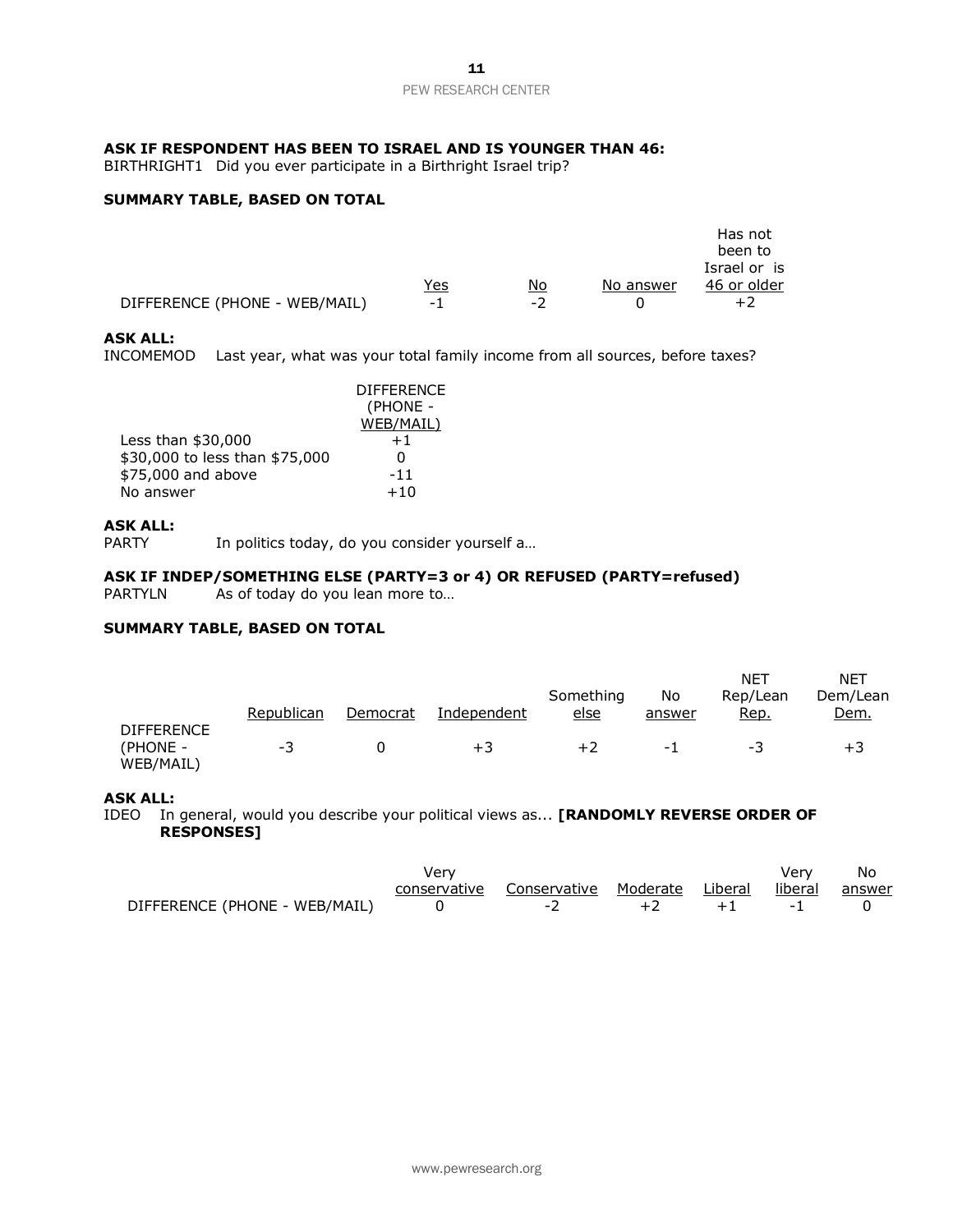# **ASK IF RESPONDENT HAS BEEN TO ISRAEL AND IS YOUNGER THAN 46:**

BIRTHRIGHT1 Did you ever participate in a Birthright Israel trip?

# **SUMMARY TABLE, BASED ON TOTAL**

|                               |     |      |           | Has not      |
|-------------------------------|-----|------|-----------|--------------|
|                               |     |      |           | been to      |
|                               |     |      |           | Israel or is |
|                               | Yes | No   | No answer | 46 or older  |
| DIFFERENCE (PHONE - WEB/MAIL) | - 1 | $-7$ |           | $+2$         |

### **ASK ALL:**

INCOMEMOD Last year, what was your total family income from all sources, before taxes?

|                                | <b>DIFFERENCE</b> |
|--------------------------------|-------------------|
|                                | (PHONE -          |
|                                | WEB/MAIL)         |
| Less than $$30,000$            | $+1$              |
| \$30,000 to less than \$75,000 | 0                 |
| \$75,000 and above             | $-11$             |
| No answer                      | $+10$             |

## **ASK ALL:**

PARTY In politics today, do you consider yourself a...

## **ASK IF INDEP/SOMETHING ELSE (PARTY=3 or 4) OR REFUSED (PARTY=refused)**

PARTYLN As of today do you lean more to...

### **SUMMARY TABLE, BASED ON TOTAL**

|                                            | Republican | Democrat | Independent | Something<br><u>else</u> | No<br>answer | NE1<br>Rep/Lean<br>Rep. | <b>NET</b><br>Dem/Lean<br>Dem. |
|--------------------------------------------|------------|----------|-------------|--------------------------|--------------|-------------------------|--------------------------------|
|                                            |            |          |             |                          |              |                         |                                |
| <b>DIFFERENCE</b><br>(PHONE -<br>WEB/MAIL) | -3         |          | $+3$        | +2                       | - 1          | - 3                     | $+3$                           |

### **ASK ALL:**

IDEO In general, would you describe your political views as... **[RANDOMLY REVERSE ORDER OF RESPONSES]**

|                               | Verv |                                                           |  |      | Verv | - No |  |
|-------------------------------|------|-----------------------------------------------------------|--|------|------|------|--|
|                               |      | conservative Conservative Moderate Liberal liberal answer |  |      |      |      |  |
| DIFFERENCE (PHONE - WEB/MAIL) |      | $-2$                                                      |  | $+1$ |      |      |  |